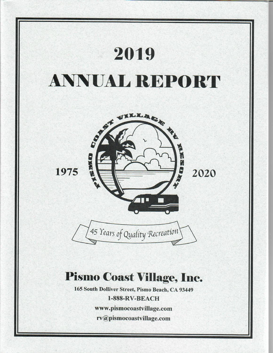

rv@pismocoastvillage.com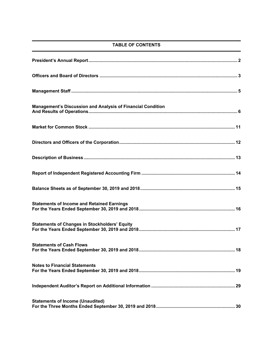# **TABLE OF CONTENTS**

| <b>Management's Discussion and Analysis of Financial Condition</b> |
|--------------------------------------------------------------------|
|                                                                    |
|                                                                    |
|                                                                    |
|                                                                    |
|                                                                    |
| <b>Statements of Income and Retained Earnings</b>                  |
| <b>Statements of Changes in Stockholders' Equity</b>               |
| <b>Statements of Cash Flows</b>                                    |
| <b>Notes to Financial Statements</b>                               |
|                                                                    |
| <b>Statements of Income (Unaudited)</b>                            |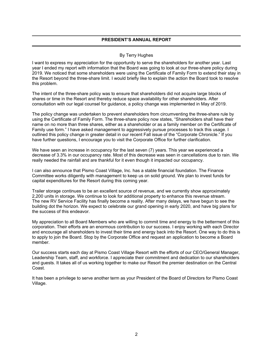# **PRESIDENT'S ANNUAL REPORT**

# By Terry Hughes

I want to express my appreciation for the opportunity to serve the shareholders for another year. Last year I ended my report with information that the Board was going to look at our three-share policy during 2019. We noticed that some shareholders were using the Certificate of Family Form to extend their stay in the Resort beyond the three-share limit. I would briefly like to explain the action the Board took to resolve this problem.

The intent of the three-share policy was to ensure that shareholders did not acquire large blocks of shares or time in the Resort and thereby reduce space availability for other shareholders. After consultation with our legal counsel for guidance, a policy change was implemented in May of 2019.

The policy change was undertaken to prevent shareholders from circumventing the three-share rule by using the Certificate of Family Form. The three-share policy now states, "Shareholders shall have their name on no more than three shares, either as a shareholder or as a family member on the Certificate of Family use form." I have asked management to aggressively pursue processes to track this usage. I outlined this policy change in greater detail in our recent Fall issue of the "Corporate Chronicle." If you have further questions, I encourage you to visit the Corporate Office for further clarification.

We have seen an increase in occupancy for the last seven (7) years. This year we experienced a decrease of 3.3% in our occupancy rate. Most of this decrease was seen in cancellations due to rain. We really needed the rainfall and are thankful for it even though it impacted our occupancy.

I can also announce that Pismo Coast Village, Inc. has a stable financial foundation. The Finance Committee works diligently with management to keep us on solid ground. We plan to invest funds for capital expenditures for the Resort during this coming year.

Trailer storage continues to be an excellent source of revenue, and we currently show approximately 2,200 units in storage. We continue to look for additional property to enhance this revenue stream. The new RV Service Facility has finally become a reality. After many delays, we have begun to see the building dot the horizon. We expect to celebrate our grand opening in early 2020, and have big plans for the success of this endeavor.

My appreciation to all Board Members who are willing to commit time and energy to the betterment of this corporation. Their efforts are an enormous contribution to our success. I enjoy working with each Director and encourage all shareholders to invest their time and energy back into the Resort. One way to do this is to apply to join the Board. Stop by the Corporate Office and request an application to become a Board member.

Our success starts each day at Pismo Coast Village Resort with the efforts of our CEO/General Manager, Leadership Team, staff, and workforce. I appreciate their commitment and dedication to our shareholders and guests. It takes all of us working together to make our Resort the premier destination on the Central Coast.

It has been a privilege to serve another term as your President of the Board of Directors for Pismo Coast Village.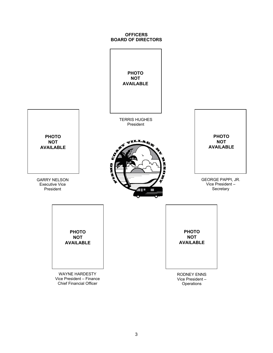# **OFFICERS BOARD OF DIRECTORS**

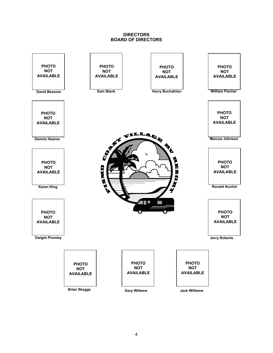# **DIRECTORS BOARD OF DIRECTORS**

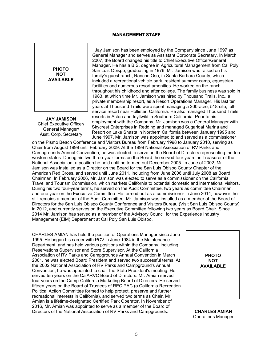# **MANAGEMENT STAFF**

**PHOTO NOT AVAILABLE**

**JAY JAMISON**  Chief Executive Officer/ General Manager/ Asst. Corp. Secretary

Jay Jamison has been employed by the Company since June 1997 as General Manager and serves as Assistant Corporate Secretary. In March 2007, the Board changed his title to Chief Executive Officer/General Manager. He has a B.S. degree in Agricultural Management from Cal Poly San Luis Obispo, graduating in 1976. Mr. Jamison was raised on his family's guest ranch, Rancho Oso, in Santa Barbara County, which included a recreational vehicle park, resident summer camp, equestrian facilities and numerous resort amenities. He worked on the ranch throughout his childhood and after college. The family business was sold in 1983, at which time Mr. Jamison was hired by Thousand Trails, Inc., a private membership resort, as a Resort Operations Manager. His last ten years at Thousand Trails were spent managing a 200-acre, 518-site, fullservice resort near Hollister, California. He also managed Thousand Trails resorts in Acton and Idyllwild in Southern California. Prior to his employment with the Company, Mr. Jamison was a General Manager with Skycrest Enterprises in Redding and managed Sugarloaf Marina and Resort on Lake Shasta in Northern California between January 1995 and June 1997. Mr. Jamison was appointed to and served as a commissioner

on the Pismo Beach Conference and Visitors Bureau from February 1998 to January 2010, serving as Chair from August 1999 until February 2009. At the 1999 National Association of RV Parks and Campgrounds Annual Convention, he was elected to serve on the Board of Directors representing the ten western states. During his two three-year terms on the Board, he served four years as Treasurer of the National Association, a position he held until he termed out December 2005. In June of 2002, Mr. Jamison was installed as a Director on the Board for the San Luis Obispo County Chapter of the American Red Cross, and served until June 2011, including from June 2006 until July 2008 as Board Chairman. In February 2006, Mr. Jamison was elected to serve as a commissioner on the California Travel and Tourism Commission, which markets California to potential domestic and international visitors. During his two four-year terms, he served on the Audit Committee, two years as committee Chairman, and one year on the Executive Committee. He termed out as a commissioner in June 2014; however, he still remains a member of the Audit Committee. Mr. Jamison was installed as a member of the Board of Directors for the San Luis Obispo County Conference and Visitors Bureau (Visit San Luis Obispo County) in 2012, and currently serves on the Executive Committee following two years as Board Chair. Since 2014 Mr. Jamison has served as a member of the Advisory Council for the Experience Industry Management (EIM) Department at Cal Poly San Luis Obispo.

CHARLES AMIAN has held the position of Operations Manager since June 1995. He began his career with PCV in June 1984 in the Maintenance Department, and has held various positions within the Company, including Reservations Supervisor and Store Supervisor. At the California Association of RV Parks and Campgrounds Annual Convention in March 2001, he was elected Board President and served two successful terms. At the 2002 National Association of RV Parks and Campground's Annual Convention, he was appointed to chair the State President's meeting. He served ten years on the CalARVC Board of Directors. Mr. Amian served four years on the Camp-California Marketing Board of Directors. He served fifteen years on the Board of Trustees of REC PAC (a California Recreation Political Action Committee formed to help protect, preserve and further recreational interests in California), and served two terms as Chair. Mr. Amian is a lifetime-designated Certified Park Operator. In November of 2016, Mr. Amian was appointed to serve as a member of the Board of Directors of the National Association of RV Parks and Campgrounds. **CHARLES AMIAN** 



Operations Manager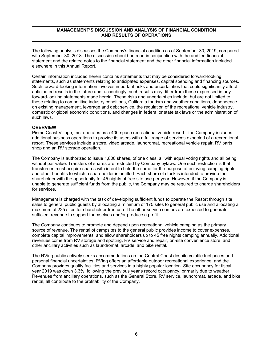# **MANAGEMENT'S DISCUSSION AND ANALYSIS OF FINANCIAL CONDITION AND RESULTS OF OPERATIONS**

The following analysis discusses the Company's financial condition as of September 30, 2019, compared with September 30, 2018. The discussion should be read in conjunction with the audited financial statement and the related notes to the financial statement and the other financial information included elsewhere in this Annual Report.

Certain information included herein contains statements that may be considered forward-looking statements, such as statements relating to anticipated expenses, capital spending and financing sources. Such forward-looking information involves important risks and uncertainties that could significantly affect anticipated results in the future and, accordingly, such results may differ from those expressed in any forward-looking statements made herein. These risks and uncertainties include, but are not limited to, those relating to competitive industry conditions, California tourism and weather conditions, dependence on existing management, leverage and debt service, the regulation of the recreational vehicle industry, domestic or global economic conditions, and changes in federal or state tax laws or the administration of such laws.

## **OVERVIEW**

Pismo Coast Village, Inc. operates as a 400-space recreational vehicle resort. The Company includes additional business operations to provide its users with a full range of services expected of a recreational resort. These services include a store, video arcade, laundromat, recreational vehicle repair, RV parts shop and an RV storage operation.

The Company is authorized to issue 1,800 shares, of one class, all with equal voting rights and all being without par value. Transfers of shares are restricted by Company bylaws. One such restriction is that transferees must acquire shares with intent to hold the same for the purpose of enjoying camping rights and other benefits to which a shareholder is entitled. Each share of stock is intended to provide the shareholder with the opportunity for 45 nights of free site use per year. However, if the Company is unable to generate sufficient funds from the public, the Company may be required to charge shareholders for services.

Management is charged with the task of developing sufficient funds to operate the Resort through site sales to general public guests by allocating a minimum of 175 sites to general public use and allocating a maximum of 225 sites for shareholder free use. The other service centers are expected to generate sufficient revenue to support themselves and/or produce a profit.

The Company continues to promote and depend upon recreational vehicle camping as the primary source of revenue. The rental of campsites to the general public provides income to cover expenses, complete capital improvements, and allow shareholders up to 45 free nights camping annually. Additional revenues come from RV storage and spotting, RV service and repair, on-site convenience store, and other ancillary activities such as laundromat, arcade, and bike rental.

The RVing public actively seeks accommodations on the Central Coast despite volatile fuel prices and personal financial uncertainties. RVing offers an affordable outdoor recreational experience, and the Company provides quality facilities and services in a highly popular location. Site occupancy for fiscal year 2019 was down 3.3%, following the previous year's record occupancy, primarily due to weather. Revenues from ancillary operations, such as the General Store, RV service, laundromat, arcade, and bike rental, all contribute to the profitability of the Company.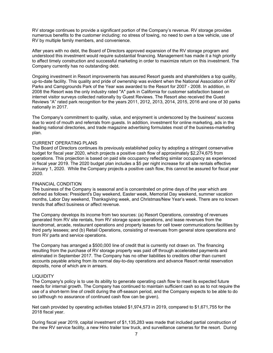RV storage continues to provide a significant portion of the Company's revenue. RV storage provides numerous benefits to the customer including: no stress of towing, no need to own a tow vehicle, use of RV by multiple family members, and convenience.

After years with no debt, the Board of Directors approved expansion of the RV storage program and understood this investment would require substantial financing. Management has made it a high priority to affect timely construction and successful marketing in order to maximize return on this investment. The Company currently has no outstanding debt.

Ongoing investment in Resort improvements has assured Resort guests and shareholders a top quality, up-to-date facility. This quality and pride of ownership was evident when the National Association of RV Parks and Campgrounds Park of the Year was awarded to the Resort for 2007 - 2008. In addition, in 2008 the Resort was the only industry rated "A" park in California for customer satisfaction based on internet visitor surveys collected nationally by Guest Reviews. The Resort also received the Guest Reviews "A" rated park recognition for the years 2011, 2012, 2013, 2014, 2015, 2016 and one of 30 parks nationally in 2017.

The Company's commitment to quality, value, and enjoyment is underscored by the business' success due to word of mouth and referrals from guests. In addition, investment for online marketing, ads in the leading national directories, and trade magazine advertising formulates most of the business-marketing plan.

### CURRENT OPERATING PLANS

The Board of Directors continues its previously established policy by adopting a stringent conservative budget for fiscal year 2020, which projects a positive cash flow of approximately \$2,274,675 from operations. This projection is based on paid site occupancy reflecting similar occupancy as experienced in fiscal year 2019. The 2020 budget plan includes a \$5 per night increase for all site rentals effective January 1, 2020. While the Company projects a positive cash flow, this cannot be assured for fiscal year 2020.

# FINANCIAL CONDITION

The business of the Company is seasonal and is concentrated on prime days of the year which are defined as follows: President's Day weekend, Easter week, Memorial Day weekend, summer vacation months, Labor Day weekend, Thanksgiving week, and Christmas/New Year's week. There are no known trends that affect business or affect revenue.

The Company develops its income from two sources: (a) Resort Operations, consisting of revenues generated from RV site rentals, from RV storage space operations, and lease revenues from the laundromat, arcade, restaurant operations and property leases for cell tower communications facilities by third party lessees; and (b) Retail Operations, consisting of revenues from general store operations and from RV parts and service operations.

The Company has arranged a \$500,000 line of credit that is currently not drawn on. The financing resulting from the purchase of RV storage property was paid off through accelerated payments and eliminated in September 2017. The Company has no other liabilities to creditors other than current accounts payable arising from its normal day-to-day operations and advance Resort rental reservation deposits, none of which are in arrears.

## LIQUIDITY

The Company's policy is to use its ability to generate operating cash flow to meet its expected future needs for internal growth. The Company has continued to maintain sufficient cash so as to not require the use of a short-term line of credit during the off-season period, and the Company expects to be able to do so (although no assurance of continued cash flow can be given).

Net cash provided by operating activities totaled \$1,974,573 in 2019, compared to \$1,671,755 for the 2018 fiscal year.

During fiscal year 2019, capital investment of \$1,135,283 was made that included partial construction of the new RV service facility, a new Hino trailer tow truck, and surveillance cameras for the resort. During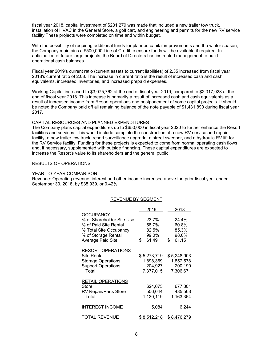fiscal year 2018, capital investment of \$231,279 was made that included a new trailer tow truck, installation of HVAC in the General Store, a golf cart, and engineering and permits for the new RV service facility These projects were completed on time and within budget.

With the possibility of requiring additional funds for planned capital improvements and the winter season, the Company maintains a \$500,000 Line of Credit to ensure funds will be available if required. In anticipation of future large projects, the Board of Directors has instructed management to build operational cash balances.

Fiscal year 2019's current ratio (current assets to current liabilities) of 2.35 increased from fiscal year 2018's current ratio of 2.08. The increase in current ratio is the result of increased cash and cash equivalents, increased inventories, and increased prepaid expenses.

Working Capital increased to \$3,075,762 at the end of fiscal year 2019, compared to \$2,317,928 at the end of fiscal year 2018. This increase is primarily a result of increased cash and cash equivalents as a result of increased income from Resort operations and postponement of some capital projects. It should be noted the Company paid off all remaining balance of the note payable of \$1,431,890 during fiscal year 2017.

## CAPITAL RESOURCES AND PLANNED EXPENDITURES

The Company plans capital expenditures up to \$650,000 in fiscal year 2020 to further enhance the Resort facilities and services. This would include complete the construction of a new RV service and repair facility, a new trailer tow truck, resort surveillance upgrade, a street sweeper, and a hydraulic RV lift for the RV Service facility. Funding for these projects is expected to come from normal operating cash flows and, if necessary, supplemented with outside financing. These capital expenditures are expected to increase the Resort's value to its shareholders and the general public.

## RESULTS OF OPERATIONS

#### YEAR-TO-YEAR COMPARISON

Revenue: Operating revenue, interest and other income increased above the prior fiscal year ended September 30, 2018, by \$35,939, or 0.42%.

## REVENUE BY SEGMENT

|                                                                                                                                              | 2019                                              | 2018                                              |
|----------------------------------------------------------------------------------------------------------------------------------------------|---------------------------------------------------|---------------------------------------------------|
| <b>OCCUPANCY</b><br>% of Shareholder Site Use<br>% of Paid Site Rental<br>% Total Site Occupancy<br>% of Storage Rental<br>Average Paid Site | \$<br>23.7%<br>58.7%<br>82.5%<br>99.0%<br>61.49   | \$<br>24.4%<br>60.8%<br>85.3%<br>98.0%<br>61.15   |
| <b>RESORT OPERATIONS</b><br>Site Rental<br><b>Storage Operations</b><br><b>Support Operations</b><br>Total                                   | \$ 5,273,719<br>1,898,369<br>204,927<br>7,377,015 | \$ 5,248,903<br>1,857,578<br>200,190<br>7,306,671 |
| <b>RETAIL OPERATIONS</b><br>Store<br>RV Repair/Parts Store<br>Total                                                                          | 624,075<br>506,044<br>1,130,119                   | 677,801<br>485,563<br>1,163,364                   |
| <b>INTEREST INCOME</b>                                                                                                                       | 5,084                                             | 6,244                                             |
| TOTAL REVENUE                                                                                                                                | 8,512,218                                         | \$ 8,476,279                                      |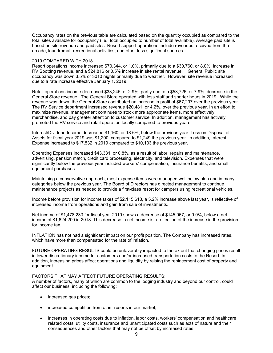Occupancy rates on the previous table are calculated based on the quantity occupied as compared to the total sites available for occupancy (i.e., total occupied to number of total available). Average paid site is based on site revenue and paid sites. Resort support operations include revenues received from the arcade, laundromat, recreational activities, and other less significant sources.

#### 2019 COMPARED WITH 2018

Resort operations income increased \$70,344, or 1.0%, primarily due to a \$30,760, or 8.0%, increase in RV Spotting revenue, and a \$24,816 or 0.5% increase in site rental revenue. General Public site occupancy was down 3.5% or 3010 nights primarily due to weather. However, site revenue increased due to a rate increase effective January 1, 2019.

Retail operations income decreased \$33,245, or 2.9%, partly due to a \$53,726, or 7.9%, decrease in the General Store revenue. The General Store operated with less staff and shorter hours in 2019. While the revenue was down, the General Store contributed an increase in profit of \$67,297 over the previous year. The RV Service department increased revenue \$20,481, or 4.2%, over the previous year. In an effort to maximize revenue, management continues to stock more appropriate items, more effectively merchandise, and pay greater attention to customer service. In addition, management has actively promoted the RV service and retail operation locally compared to previous years.

Interest/Dividend Income decreased \$1,160, or 18.6%, below the previous year. Loss on Disposal of Assets for fiscal year 2019 was \$1,200, compared to \$1,249 the previous year. In addition, Interest Expense increased to \$17,532 in 2019 compared to \$10,133 the previous year.

Operating Expenses increased \$43,331, or 0.8%, as a result of labor, repairs and maintenance, advertising, pension match, credit card processing, electricity, and television. Expenses that were significantly below the previous year included workers' compensation, insurance benefits, and small equipment purchases.

Maintaining a conservative approach, most expense items were managed well below plan and in many categories below the previous year. The Board of Directors has directed management to continue maintenance projects as needed to provide a first-class resort for campers using recreational vehicles.

Income before provision for income taxes of \$2,115,613, a 5.2% increase above last year, is reflective of increased income from operations and gain from sale of investments.

Net income of \$1,478,233 for fiscal year 2019 shows a decrease of \$145,967, or 9.0%, below a net income of \$1,624,200 in 2018. This decrease in net income is a reflection of the increase in the provision for income tax.

INFLATION has not had a significant impact on our profit position. The Company has increased rates, which have more than compensated for the rate of inflation.

FUTURE OPERATING RESULTS could be unfavorably impacted to the extent that changing prices result in lower discretionary income for customers and/or increased transportation costs to the Resort. In addition, increasing prices affect operations and liquidity by raising the replacement cost of property and equipment.

#### FACTORS THAT MAY AFFECT FUTURE OPERATING RESULTS:

A number of factors, many of which are common to the lodging industry and beyond our control, could affect our business, including the following:

- increased gas prices;
- increased competition from other resorts in our market;
- increases in operating costs due to inflation, labor costs, workers' compensation and healthcare related costs, utility costs, insurance and unanticipated costs such as acts of nature and their consequences and other factors that may not be offset by increased rates;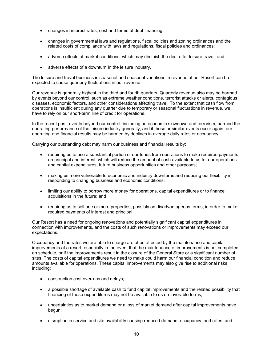- changes in interest rates, cost and terms of debt financing;
- changes in governmental laws and regulations, fiscal policies and zoning ordinances and the related costs of compliance with laws and regulations, fiscal policies and ordinances;
- adverse effects of market conditions, which may diminish the desire for leisure travel; and
- adverse effects of a downturn in the leisure industry.

The leisure and travel business is seasonal and seasonal variations in revenue at our Resort can be expected to cause quarterly fluctuations in our revenue.

Our revenue is generally highest in the third and fourth quarters. Quarterly revenue also may be harmed by events beyond our control, such as extreme weather conditions, terrorist attacks or alerts, contagious diseases, economic factors, and other considerations affecting travel. To the extent that cash flow from operations is insufficient during any quarter due to temporary or seasonal fluctuations in revenue, we have to rely on our short-term line of credit for operations.

In the recent past, events beyond our control, including an economic slowdown and terrorism, harmed the operating performance of the leisure industry generally, and if these or similar events occur again, our operating and financial results may be harmed by declines in average daily rates or occupancy.

Carrying our outstanding debt may harm our business and financial results by:

- requiring us to use a substantial portion of our funds from operations to make required payments on principal and interest, which will reduce the amount of cash available to us for our operations and capital expenditures, future business opportunities and other purposes;
- making us more vulnerable to economic and industry downturns and reducing our flexibility in responding to changing business and economic conditions;
- limiting our ability to borrow more money for operations, capital expenditures or to finance acquisitions in the future; and
- requiring us to sell one or more properties, possibly on disadvantageous terms, in order to make required payments of interest and principal.

Our Resort has a need for ongoing renovations and potentially significant capital expenditures in connection with improvements, and the costs of such renovations or improvements may exceed our expectations.

Occupancy and the rates we are able to charge are often affected by the maintenance and capital improvements at a resort, especially in the event that the maintenance of improvements is not completed on schedule, or if the improvements result in the closure of the General Store or a significant number of sites. The costs of capital expenditures we need to make could harm our financial condition and reduce amounts available for operations. These capital improvements may also give rise to additional risks including:

- construction cost overruns and delays;
- a possible shortage of available cash to fund capital improvements and the related possibility that financing of these expenditures may not be available to us on favorable terms;
- uncertainties as to market demand or a loss of market demand after capital improvements have begun;
- disruption in service and site availability causing reduced demand, occupancy, and rates; and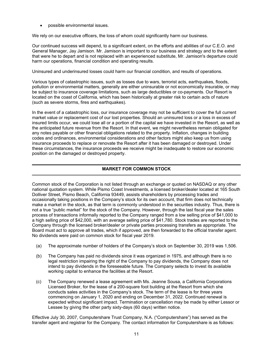possible environmental issues.

We rely on our executive officers, the loss of whom could significantly harm our business.

Our continued success will depend, to a significant extent, on the efforts and abilities of our C.E.O. and General Manager, Jay Jamison. Mr. Jamison is important to our business and strategy and to the extent that were he to depart and is not replaced with an experienced substitute, Mr. Jamison's departure could harm our operations, financial condition and operating results.

Uninsured and underinsured losses could harm our financial condition, and results of operations.

Various types of catastrophic issues, such as losses due to wars, terrorist acts, earthquakes, floods, pollution or environmental matters, generally are either uninsurable or not economically insurable, or may be subject to insurance coverage limitations, such as large deductibles or co-payments. Our Resort is located on the coast of California, which has been historically at greater risk to certain acts of nature (such as severe storms, fires and earthquakes).

In the event of a catastrophic loss, our insurance coverage may not be sufficient to cover the full current market value or replacement cost of our lost properties. Should an uninsured loss or a loss in excess of insured limits occur, we could lose all or a portion of the capital we have invested in the Resort, as well as the anticipated future revenue from the Resort. In that event, we might nevertheless remain obligated for any notes payable or other financial obligations related to the property. Inflation, changes in building codes and ordinances, environmental considerations and other factors might also keep us from using insurance proceeds to replace or renovate the Resort after it has been damaged or destroyed. Under these circumstances, the insurance proceeds we receive might be inadequate to restore our economic position on the damaged or destroyed property.

# **MARKET FOR COMMON STOCK**

Common stock of the Corporation is not listed through an exchange or quoted on NASDAQ or any other national quotation system. While Pismo Coast Investments, a licensed broker/dealer located at 165 South Dolliver Street, Pismo Beach, California 93449, assists shareholders by processing trades and occasionally taking positions in the Company's stock for its own account, that firm does not technically make a market in the stock, as that term is commonly understood in the securities industry. Thus, there is not a true "public market" for the stock of the Company. However, through the last fiscal year the sales process of transactions informally reported to the Company ranged from a low selling price of \$41,000 to a high selling price of \$42,000, with an average selling price of \$41,780. Stock trades are reported to the Company through the licensed broker/dealer or private parties processing transfers as appropriate. The Board must act to approve all trades, which if approved, are then forwarded to the official transfer agent. No dividends were paid on common stock for fiscal year 2019.

- (a) The approximate number of holders of the Company's stock on September 30, 2019 was 1,506.
- (b) The Company has paid no dividends since it was organized in 1975, and although there is no legal restriction impairing the right of the Company to pay dividends, the Company does not intend to pay dividends in the foreseeable future. The Company selects to invest its available working capital to enhance the facilities at the Resort.
- (c) The Company renewed a lease agreement with Ms. Jeanne Sousa, a California Corporations Licensed Broker, for the lease of a 200-square foot building at the Resort from which she conducts sales activities in the Company's stock. The term of the lease is for three years commencing on January 1, 2020 and ending on December 31, 2022. Continued renewal is expected without significant impact. Termination or cancellation may be made by either Lessor or Lessee by giving the other party sixty-days (60 days) written notice.

Effective July 30, 2007, Computershare Trust Company, N.A. ("Computershare") has served as the transfer agent and registrar for the Company. The contact information for Computershare is as follows: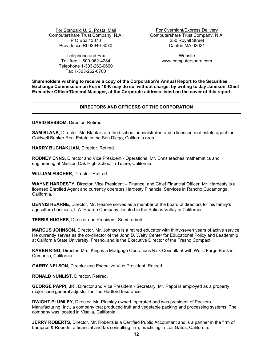Providence RI 02940-3070

Telephone and Fax Website Toll free 1-800-962-4284 www.computershare.com Telephone 1-303-262-0600 Fax 1-303-262-0700

For Standard U. S. Postal Mail For Overnight/Express Delivery Computershare Trust Company, N.A. Computershare Trust Company, N.A. P O Box 43070 250 Royall Street

**Shareholders wishing to receive a copy of the Corporation's Annual Report to the Securities Exchange Commission on Form 10-K may do so, without charge, by writing to Jay Jamison, Chief Executive Officer/General Manager, at the Corporate address listed on the cover of this report.** 

# **DIRECTORS AND OFFICERS OF THE CORPORATION**

**DAVID BESSOM,** Director. Retired.

**SAM BLANK**, Director. Mr. Blank is a retired school administrator, and a licensed real estate agent for Coldwell Banker Real Estate in the San Diego, California area.

**HARRY BUCHAKLIAN**, Director. Retired.

**RODNEY ENNS**, Director and Vice President - Operations. Mr. Enns teaches mathematics and engineering at Mission Oak High School in Tulare, California.

**WILLIAM FISCHER**, Director. Retired.

**WAYNE HARDESTY**, Director, Vice President – Finance, and Chief Financial Officer. Mr. Hardesty is a licensed Enrolled Agent and currently operates Hardesty Financial Services in Rancho Cucamonga, California.

**DENNIS HEARNE**, Director. Mr. Hearne serves as a member of the board of directors for his family's agriculture business, L.A. Hearne Company, located in the Salinas Valley in California.

**TERRIS HUGHES**, Director and President. Semi-retired.

**MARCUS JOHNSON,** Director. Mr. Johnson is a retired educator with thirty-seven years of active service. He currently serves as the co-director of the John D. Welty Center for Educational Policy and Leadership at California State University, Fresno, and is the Executive Director of the Fresno Compact.

**KAREN KING,** Director. Mrs. King is a Mortgage Operations Risk Consultant with Wells Fargo Bank in Camarillo, California.

**GARRY NELSON**, Director and Executive Vice President. Retired.

**RONALD NUNLIST**, Director. Retired.

**GEORGE PAPPI, JR.**, Director and Vice President - Secretary. Mr. Pappi is employed as a property major case general adjustor for The Hartford Insurance.

**DWIGHT PLUMLEY**, Director. Mr. Plumley owned, operated and was president of Packers Manufacturing, Inc., a company that produced fruit and vegetable packing and processing systems. The company was located in Visalia, California.

**JERRY ROBERTS**, Director. Mr. Roberts is a Certified Public Accountant and is a partner in the firm of Lampros & Roberts, a financial and tax consulting firm, practicing in Los Gatos, California.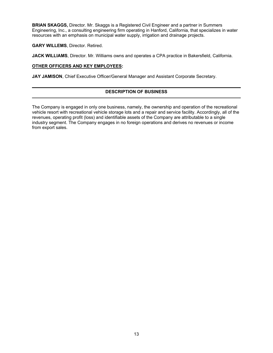**BRIAN SKAGGS,** Director. Mr. Skaggs is a Registered Civil Engineer and a partner in Summers Engineering, Inc., a consulting engineering firm operating in Hanford, California, that specializes in water resources with an emphasis on municipal water supply, irrigation and drainage projects.

**GARY WILLEMS**, Director. Retired.

**JACK WILLIAMS**, Director. Mr. Williams owns and operates a CPA practice in Bakersfield, California.

# **OTHER OFFICERS AND KEY EMPLOYEES:**

JAY JAMISON, Chief Executive Officer/General Manager and Assistant Corporate Secretary.

# **DESCRIPTION OF BUSINESS**

The Company is engaged in only one business, namely, the ownership and operation of the recreational vehicle resort with recreational vehicle storage lots and a repair and service facility. Accordingly, all of the revenues, operating profit (loss) and identifiable assets of the Company are attributable to a single industry segment. The Company engages in no foreign operations and derives no revenues or income from export sales.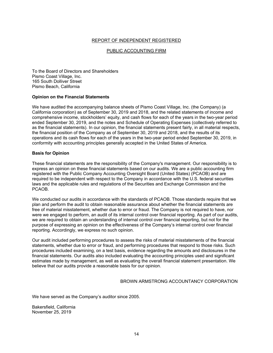# REPORT OF INDEPENDENT REGISTERED

# PUBLIC ACCOUNTING FIRM

To the Board of Directors and Shareholders Pismo Coast Village, Inc. 165 South Dolliver Street Pismo Beach, California

## **Opinion on the Financial Statements**

We have audited the accompanying balance sheets of Pismo Coast Village, Inc. (the Company) (a California corporation) as of September 30, 2019 and 2018, and the related statements of income and comprehensive income, stockholders' equity, and cash flows for each of the years in the two-year period ended September 30, 2019, and the notes and Schedule of Operating Expenses (collectively referred to as the financial statements). In our opinion, the financial statements present fairly, in all material respects, the financial position of the Company as of September 30, 2019 and 2018, and the results of its operations and its cash flows for each of the years in the two-year period ended September 30, 2019, in conformity with accounting principles generally accepted in the United States of America.

#### **Basis for Opinion**

These financial statements are the responsibility of the Company's management. Our responsibility is to express an opinion on these financial statements based on our audits. We are a public accounting firm registered with the Public Company Accounting Oversight Board (United States) (PCAOB) and are required to be independent with respect to the Company in accordance with the U.S. federal securities laws and the applicable rules and regulations of the Securities and Exchange Commission and the PCAOB.

We conducted our audits in accordance with the standards of PCAOB. Those standards require that we plan and perform the audit to obtain reasonable assurance about whether the financial statements are free of material misstatement, whether due to error or fraud. The Company is not required to have, nor were we engaged to perform, an audit of its internal control over financial reporting. As part of our audits, we are required to obtain an understanding of internal control over financial reporting, but not for the purpose of expressing an opinion on the effectiveness of the Company's internal control over financial reporting. Accordingly, we express no such opinion.

Our audit included performing procedures to assess the risks of material misstatements of the financial statements, whether due to error or fraud, and performing procedures that respond to those risks. Such procedures included examining, on a test basis, evidence regarding the amounts and disclosures in the financial statements. Our audits also included evaluating the accounting principles used and significant estimates made by management, as well as evaluating the overall financial statement presentation. We believe that our audits provide a reasonable basis for our opinion.

#### BROWN ARMSTRONG ACCOUNTANCY CORPORATION

We have served as the Company's auditor since 2005.

Bakersfield, California November 25, 2019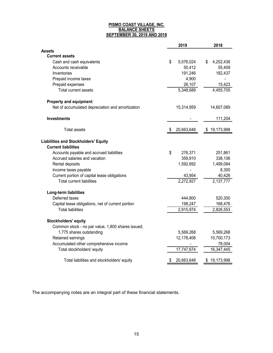#### **PISMO COAST VILLAGE, INC. BALANCE SHEETS SEPTEMBER 30, 2019 AND 2018**

|                                                   | 2019             | 2018             |
|---------------------------------------------------|------------------|------------------|
| <b>Assets</b>                                     |                  |                  |
| <b>Current assets</b>                             |                  |                  |
| Cash and cash equivalents                         | \$<br>5,076,024  | 4,202,436<br>\$  |
| Accounts receivable                               | 50,412           | 55,409           |
| Inventories                                       | 191,246          | 182,437          |
| Prepaid income taxes                              | 4,900            |                  |
| Prepaid expenses                                  | 26,107           | 15,423           |
| Total current assets                              | 5,348,689        | 4,455,705        |
| <b>Property and equipment</b>                     |                  |                  |
| Net of accumulated depreciation and amortization  | 15,314,959       | 14,607,089       |
| <b>Investments</b>                                |                  | 111,204          |
| <b>Total assets</b>                               | 20,663,648<br>\$ | \$<br>19,173,998 |
| <b>Liabilities and Stockholders' Equity</b>       |                  |                  |
| <b>Current liabilities</b>                        |                  |                  |
| Accounts payable and accrued liabilities          | \$<br>276,371    | 251,861          |
| Accrued salaries and vacation                     | 359,910          | 338,106          |
| Rental deposits                                   | 1,592,692        | 1,499,084        |
| Income taxes payable                              |                  | 8,300            |
| Current portion of capital lease obligations      | 43,954           | 40,426           |
| <b>Total current liabilities</b>                  | 2,272,927        | 2,137,777        |
| Long-term liabilities                             |                  |                  |
| Deferred taxes                                    | 444,800          | 520,300          |
| Capital lease obligations, net of current portion | 198,247          | 168,476          |
| <b>Total liabilities</b>                          | 2,915,974        | 2,826,553        |
| <b>Stockholders' equity</b>                       |                  |                  |
| Common stock - no par value, 1,800 shares issued, |                  |                  |
| 1,775 shares outstanding                          | 5,569,268        | 5,569,268        |
| Retained earnings                                 | 12,178,406       | 10,700,173       |
| Accumulated other comprehensive income            |                  | 78,004           |
| Total stockholders' equity                        | 17,747,674       | 16,347,445       |
| Total liabilities and stockholders' equity        | 20,663,648<br>S  | \$19,173,998     |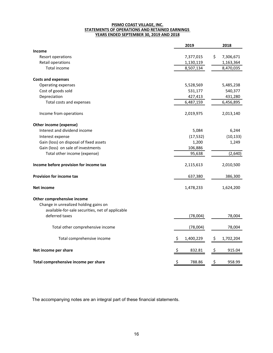#### **PISMO COAST VILLAGE, INC. STATEMENTS OF OPERATIONS AND RETAINED EARNINGS YEARS ENDED SEPTEMBER 30, 2019 AND 2018**

|                                                  | 2019           | 2018            |
|--------------------------------------------------|----------------|-----------------|
| <b>Income</b>                                    |                |                 |
| Resort operations                                | 7,377,015      | \$<br>7,306,671 |
| Retail operations                                | 1,130,119      | 1,163,364       |
| Total income                                     | 8,507,134      | 8,470,035       |
| <b>Costs and expenses</b>                        |                |                 |
| Operating expenses                               | 5,528,569      | 5,485,238       |
| Cost of goods sold                               | 531,177        | 540,377         |
| Depreciation                                     | 427,413        | 431,280         |
| Total costs and expenses                         | 6,487,159      | 6,456,895       |
| Income from operations                           | 2,019,975      | 2,013,140       |
| Other income (expense)                           |                |                 |
| Interest and dividend income                     | 5,084          | 6,244           |
| Interest expense                                 | (17, 532)      | (10, 133)       |
| Gain (loss) on disposal of fixed assets          | 1,200          | 1,249           |
| Gain (loss) on sale of investments               | 106,886        |                 |
| Total other income (expense)                     | 95,638         | (2,640)         |
| Income before provision for income tax           | 2,115,613      | 2,010,500       |
| Provision for income tax                         | 637,380        | 386,300         |
| <b>Net income</b>                                | 1,478,233      | 1,624,200       |
| Other comprehensive income                       |                |                 |
| Change in unrealized holding gains on            |                |                 |
| available-for-sale securities, net of applicable |                |                 |
| deferred taxes                                   | (78,004)       | 78,004          |
| Total other comprehensive income                 | (78,004)       | 78,004          |
| Total comprehensive income                       | 1,400,229<br>Ş | \$<br>1,702,204 |
| Net income per share                             | \$<br>832.81   | \$<br>915.04    |
| Total comprehensive income per share             | \$<br>788.86   | \$<br>958.99    |
|                                                  |                |                 |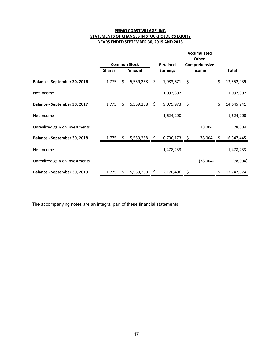# **PISMO COAST VILLAGE, INC. STATEMENTS OF CHANGES IN STOCKHOLDER'S EQUITY YEARS ENDED SEPTEMBER 30, 2019 AND 2018**

|                                |               |    | <b>Common Stock</b> | <b>Retained</b>  |     | Accumulated<br>Other<br>Comprehensive |    |              |
|--------------------------------|---------------|----|---------------------|------------------|-----|---------------------------------------|----|--------------|
|                                | <b>Shares</b> |    | <b>Amount</b>       | <b>Earnings</b>  |     | Income                                |    | <b>Total</b> |
| Balance - September 30, 2016   | 1,775         | \$ | 5,569,268           | \$<br>7,983,671  | \$  |                                       | \$ | 13,552,939   |
| Net Income                     |               |    |                     | 1,092,302        |     |                                       |    | 1,092,302    |
| Balance - September 30, 2017   | 1,775         | \$ | 5,569,268           | \$<br>9,075,973  | \$  |                                       | \$ | 14,645,241   |
| Net Income                     |               |    |                     | 1,624,200        |     |                                       |    | 1,624,200    |
| Unrealized gain on investments |               |    |                     |                  |     | 78,004                                |    | 78,004       |
| Balance - September 30, 2018   | 1,775         | S. | 5,569,268           | \$<br>10,700,173 | \$. | 78,004                                | S. | 16,347,445   |
| Net Income                     |               |    |                     | 1,478,233        |     |                                       |    | 1,478,233    |
| Unrealized gain on investments |               |    |                     |                  |     | (78,004)                              |    | (78,004)     |
| Balance - September 30, 2019   | 1,775         | S  | 5,569,268           | \$<br>12,178,406 |     |                                       | \$ | 17,747,674   |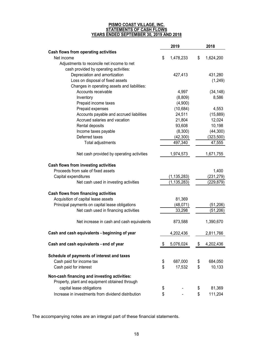#### **PISMO COAST VILLAGE, INC. STATEMENTS OF CASH FLOWS YEARS ENDED SEPTEMBER 30, 2019 AND 2018**

|                                                    | 2019            | 2018            |
|----------------------------------------------------|-----------------|-----------------|
| Cash flows from operating activities               |                 |                 |
| Net income                                         | \$<br>1,478,233 | \$<br>1,624,200 |
| Adjustments to reconcile net income to net         |                 |                 |
| cash provided by operating activities:             |                 |                 |
| Depreciation and amortization                      | 427,413         | 431,280         |
| Loss on disposal of fixed assets                   |                 | (1,249)         |
| Changes in operating assets and liabilities:       |                 |                 |
| Accounts receivable                                | 4,997           | (34, 148)       |
| Inventory                                          | (8,809)         | 8,586           |
| Prepaid income taxes                               | (4,900)         |                 |
| Prepaid expenses                                   | (10, 684)       | 4,553           |
| Accounts payable and accrued liabilities           | 24,511          | (15,889)        |
| Accrued salaries and vacation                      | 21,804          | 12,024          |
| Rental deposits                                    | 93,608          | 10,198          |
| Income taxes payable                               | (8,300)         | (44,300)        |
| Deferred taxes                                     | (42,300)        | (323, 500)      |
| Total adjustments                                  | 497,340         | 47,555          |
| Net cash provided by operating activities          | 1,974,573       | 1,671,755       |
| Cash flows from investing activities               |                 |                 |
| Proceeds from sale of fixed assets                 |                 | 1,400           |
| Capital expenditures                               | (1, 135, 283)   | (231, 279)      |
| Net cash used in investing activities              | (1, 135, 283)   | (229, 879)      |
| Cash flows from financing activities               |                 |                 |
| Acquisition of capital lease assets                | 81,369          |                 |
| Principal payments on capital lease obligations    | (48,071)        | (51, 206)       |
| Net cash used in financing activities              | 33,298          | (51, 206)       |
| Net increase in cash and cash equivalents          | 873,588         | 1,390,670       |
| Cash and cash equivalents - beginning of year      | 4,202,436       | 2,811,766       |
| Cash and cash equivalents - end of year            | \$<br>5,076,024 | \$<br>4,202,436 |
| Schedule of payments of interest and taxes         |                 |                 |
| Cash paid for income tax                           | \$<br>687,000   | \$<br>684,050   |
| Cash paid for interest                             | \$<br>17,532    | \$<br>10,133    |
| Non-cash financing and investing activities:       |                 |                 |
| Property, plant and equipment obtained through     |                 |                 |
| capital lease obligations                          | \$              | \$<br>81,369    |
| Increase in investments from dividend distribution | \$              | \$<br>111,204   |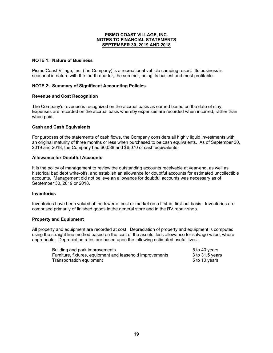# **NOTE 1: Nature of Business**

Pismo Coast Village, Inc. (the Company) is a recreational vehicle camping resort. Its business is seasonal in nature with the fourth quarter, the summer, being its busiest and most profitable.

# **NOTE 2: Summary of Significant Accounting Policies**

## **Revenue and Cost Recognition**

The Company's revenue is recognized on the accrual basis as earned based on the date of stay. Expenses are recorded on the accrual basis whereby expenses are recorded when incurred, rather than when paid.

## **Cash and Cash Equivalents**

For purposes of the statements of cash flows, the Company considers all highly liquid investments with an original maturity of three months or less when purchased to be cash equivalents. As of September 30, 2019 and 2018, the Company had \$6,088 and \$6,070 of cash equivalents.

# **Allowance for Doubtful Accounts**

It is the policy of management to review the outstanding accounts receivable at year-end, as well as historical bad debt write-offs, and establish an allowance for doubtful accounts for estimated uncollectible accounts. Management did not believe an allowance for doubtful accounts was necessary as of September 30, 2019 or 2018.

# **Inventories**

Inventories have been valued at the lower of cost or market on a first-in, first-out basis. Inventories are comprised primarily of finished goods in the general store and in the RV repair shop.

## **Property and Equipment**

All property and equipment are recorded at cost. Depreciation of property and equipment is computed using the straight line method based on the cost of the assets, less allowance for salvage value, where appropriate. Depreciation rates are based upon the following estimated useful lives :

| Building and park improvements                            | 5 to 40 years     |
|-----------------------------------------------------------|-------------------|
| Furniture, fixtures, equipment and leasehold improvements | 3 to $31.5$ years |
| Transportation equipment                                  | 5 to 10 years     |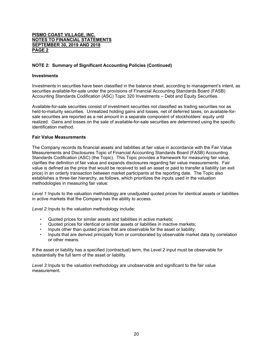# **NOTE 2: Summary of Significant Accounting Policies (Continued)**

#### **Investments**

Investments in securities have been classified in the balance sheet, according to management's intent, as securities available-for-sale under the provisions of Financial Accounting Standards Board (FASB) Accounting Standards Codification (ASC) Topic 320 Investments – Debt and Equity Securities.

Available-for-sale securities consist of investment securities not classified as trading securities nor as held-to-maturity securities. Unrealized holding gains and losses, net of deferred taxes, on available-forsale securities are reported as a net amount in a separate component of stockholders' equity until realized. Gains and losses on the sale of available-for-sale securities are determined using the specific identification method.

# **Fair Value Measurements**

The Company records its financial assets and liabilities at fair value in accordance with the Fair Value Measurements and Disclosures Topic of Financial Accounting Standards Board (FASB) Accounting Standards Codification (ASC) (the Topic). This Topic provides a framework for measuring fair value, clarifies the definition of fair value and expands disclosures regarding fair value measurements. Fair value is defined as the price that would be received to sell an asset or paid to transfer a liability (an exit price) in an orderly transaction between market participants at the reporting date. The Topic also establishes a three-tier hierarchy, as follows, which prioritizes the inputs used in the valuation methodologies in measuring fair value:

*Level 1*: Inputs to the valuation methodology are unadjusted quoted prices for identical assets or liabilities in active markets that the Company has the ability to access.

*Level 2*: Inputs to the valuation methodology include:

- Quoted prices for similar assets and liabilities in active markets;
- Quoted prices for identical or similar assets or liabilities in inactive markets;
- Inputs other than quoted prices that are observable for the asset or liability;
- Inputs that are derived principally from or corroborated by observable market data by correlation or other means.

If the asset or liability has a specified (contractual) term, the Level 2 input must be observable for substantially the full term of the asset or liability.

*Level 3*: Inputs to the valuation methodology are unobservable and significant to the fair value measurement.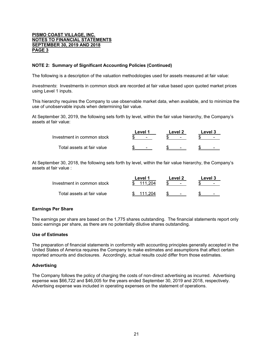# **NOTE 2: Summary of Significant Accounting Policies (Continued)**

The following is a description of the valuation methodologies used for assets measured at fair value:

*Investments*: Investments in common stock are recorded at fair value based upon quoted market prices using Level 1 inputs.

This hierarchy requires the Company to use observable market data, when available, and to minimize the use of unobservable inputs when determining fair value.

At September 30, 2019, the following sets forth by level, within the fair value hierarchy, the Company's assets at fair value:

|                            | Level 1<br>Level 2       |        | Level 3 |
|----------------------------|--------------------------|--------|---------|
| Investment in common stock | $\overline{\phantom{0}}$ | $\sim$ | -       |
| Total assets at fair value | $\overline{\phantom{0}}$ |        |         |

At September 30, 2018, the following sets forth by level, within the fair value hierarchy, the Company's assets at fair value :

|                             | ∟evel ″ | Level 2                  | Level 3                  |
|-----------------------------|---------|--------------------------|--------------------------|
| Investment in common stock  | 111 204 | $\overline{\phantom{0}}$ | -                        |
| Total assets at fair value. | 111 204 | <b>CONTINUES</b>         | $\overline{\phantom{0}}$ |

## **Earnings Per Share**

The earnings per share are based on the 1,775 shares outstanding. The financial statements report only basic earnings per share, as there are no potentially dilutive shares outstanding.

## **Use of Estimates**

The preparation of financial statements in conformity with accounting principles generally accepted in the United States of America requires the Company to make estimates and assumptions that affect certain reported amounts and disclosures. Accordingly, actual results could differ from those estimates.

## **Advertising**

The Company follows the policy of charging the costs of non-direct advertising as incurred. Advertising expense was \$66,722 and \$46,005 for the years ended September 30, 2019 and 2018, respectively. Advertising expense was included in operating expenses on the statement of operations.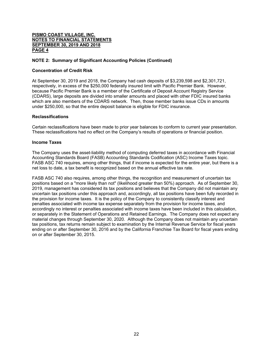# **NOTE 2: Summary of Significant Accounting Policies (Continued)**

### **Concentration of Credit Risk**

At September 30, 2019 and 2018, the Company had cash deposits of \$3,239,598 and \$2,301,721, respectively, in excess of the \$250,000 federally insured limit with Pacific Premier Bank. However, because Pacific Premier Bank is a member of the Certificate of Deposit Account Registry Service (CDARS), large deposits are divided into smaller amounts and placed with other FDIC insured banks which are also members of the CDARS network. Then, those member banks issue CDs in amounts under \$250,000, so that the entire deposit balance is eligible for FDIC insurance.

#### **Reclassifications**

Certain reclassifications have been made to prior year balances to conform to current year presentation. These reclassifications had no effect on the Company's results of operations or financial position.

### **Income Taxes**

The Company uses the asset-liability method of computing deferred taxes in accordance with Financial Accounting Standards Board (FASB) Accounting Standards Codification (ASC) Income Taxes topic. FASB ASC 740 requires, among other things, that if income is expected for the entire year, but there is a net loss to date, a tax benefit is recognized based on the annual effective tax rate.

FASB ASC 740 also requires, among other things, the recognition and measurement of uncertain tax positions based on a "more likely than not" (likelihood greater than 50%) approach. As of September 30, 2019, management has considered its tax positions and believes that the Company did not maintain any uncertain tax positions under this approach and, accordingly, all tax positions have been fully recorded in the provision for income taxes. It is the policy of the Company to consistently classify interest and penalties associated with income tax expense separately from the provision for income taxes, and accordingly no interest or penalties associated with income taxes have been included in this calculation, or separately in the Statement of Operations and Retained Earnings. The Company does not expect any material changes through September 30, 2020. Although the Company does not maintain any uncertain tax positions, tax returns remain subject to examination by the Internal Revenue Service for fiscal years ending on or after September 30, 2016 and by the California Franchise Tax Board for fiscal years ending on or after September 30, 2015.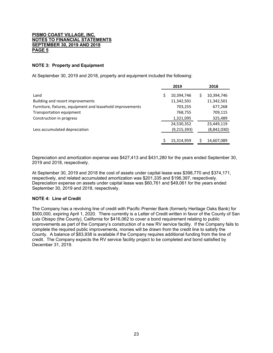# **NOTE 3: Property and Equipment**

At September 30, 2019 and 2018, property and equipment included the following:

|                                                           |   | 2019        | 2018        |
|-----------------------------------------------------------|---|-------------|-------------|
| Land                                                      | Ś | 10,394,746  | 10,394,746  |
| Building and resort improvements                          |   | 11,342,501  | 11,342,501  |
| Furniture, fixtures, equipment and leasehold improvements |   | 703,255     | 677,268     |
| Transportation equipment                                  |   | 768,755     | 709,115     |
| Construction in progress                                  |   | 1,321,095   | 325,489     |
|                                                           |   | 24,530,352  | 23,449,119  |
| Less accumulated depreciation                             |   | (9,215,393) | (8,842,030) |
|                                                           |   |             |             |
|                                                           |   | 15,314,959  | 14,607,089  |

Depreciation and amortization expense was \$427,413 and \$431,280 for the years ended September 30, 2019 and 2018, respectively.

At September 30, 2019 and 2018 the cost of assets under capital lease was \$398,770 and \$374,171, respectively, and related accumulated amortization was \$201,335 and \$196,397, respectively. Depreciation expense on assets under capital lease was \$60,761 and \$49,061 for the years ended September 30, 2019 and 2018, respectively.

# **NOTE 4: Line of Credit**

The Company has a revolving line of credit with Pacific Premier Bank (formerly Heritage Oaks Bank) for \$500,000, expiring April 1, 2020. There currently is a Letter of Credit written in favor of the County of San Luis Obispo (the County), California for \$416,062 to cover a bond requirement relating to public improvements as part of the Company's construction of a new RV service facility. If the Company fails to complete the required public improvements, monies will be drawn from the credit line to satisfy the County. A balance of \$83,938 is available if the Company requires additional funding from the line of credit. The Company expects the RV service facility project to be completed and bond satisfied by December 31, 2019.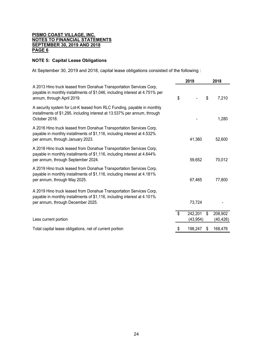# **NOTE 5: Capital Lease Obligations**

At September 30, 2019 and 2018, capital lease obligations consisted of the following :

|                                                                                                                                                                                       |    | 2019                 | 2018                       |
|---------------------------------------------------------------------------------------------------------------------------------------------------------------------------------------|----|----------------------|----------------------------|
| A 2013 Hino truck leased from Donahue Transportation Services Corp,<br>payable in monthly installments of \$1,046, including interest at 4.751% per<br>annum, through April 2019.     | \$ |                      | \$<br>7,210                |
| A security system for Lot-K leased from RLC Funding, payable in monthly<br>installments of \$1,295, including interest at 13.537% per annum, through<br>October 2018.                 |    |                      | 1,280                      |
| A 2016 Hino truck leased from Donahue Transportation Services Corp,<br>payable in monthly installments of \$1,116, including interest at 4.532%<br>per annum, through January 2023.   |    | 41,360               | 52,600                     |
| A 2018 Hino truck leased from Donahue Transportation Services Corp,<br>payable in monthly installments of \$1,116, including interest at 4.644%<br>per annum, through September 2024. |    | 59,652               | 70,012                     |
| A 2019 Hino truck leased from Donahue Transportation Services Corp,<br>payable in monthly installments of \$1,116, including interest at 4.181%<br>per annum, through May 2025.       |    | 67,465               | 77,800                     |
| A 2019 Hino truck leased from Donahue Transportation Services Corp,<br>payable in monthly installments of \$1,116, including interest at 4.101%<br>per annum, through December 2025.  |    | 73,724               |                            |
| Less current portion                                                                                                                                                                  | \$ | 242,201<br>(43, 954) | \$<br>208,902<br>(40, 426) |
| Total capital lease obligations, net of current portion                                                                                                                               | S  | 198,247              | \$<br>168,476              |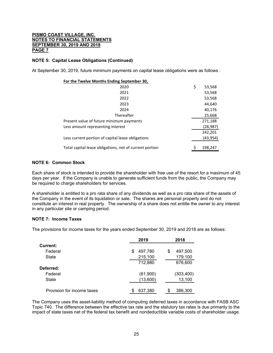# **NOTE 5: Capital Lease Obligations (Continued)**

At September 30, 2019, future minimum payments on capital lease obligations were as follows :

| For the Twelve Months Ending September 30,              |              |
|---------------------------------------------------------|--------------|
| 2020                                                    | \$<br>53,568 |
| 2021                                                    | 53,568       |
| 2022                                                    | 53,568       |
| 2023                                                    | 44,640       |
| 2024                                                    | 40,176       |
| Thereafter                                              | 25,668       |
| Present value of future minimum payments                | 271,188      |
| Less amount representing interest                       | (28, 987)    |
|                                                         | 242,201      |
| Less current portion of capital lease obligations       | (43,954)     |
| Total capital lease obligations, net of current portion | 198,247      |
|                                                         |              |

## **NOTE 6: Common Stock**

Each share of stock is intended to provide the shareholder with free use of the resort for a maximum of 45 days per year. If the Company is unable to generate sufficient funds from the public, the Company may be required to charge shareholders for services.

A shareholder is entitled to a pro rata share of any dividends as well as a pro rata share of the assets of the Company in the event of its liquidation or sale. The shares are personal property and do not constitute an interest in real property. The ownership of a share does not entitle the owner to any interest in any particular site or camping period.

# **NOTE 7: Income Taxes**

The provisions for income taxes for the years ended September 30, 2019 and 2018 are as follows:

|                            | 2019          | 2018          |
|----------------------------|---------------|---------------|
| Current:                   |               |               |
| Federal                    | 497,780<br>\$ | \$<br>497,500 |
| State                      | 215,100       | 179,100       |
|                            | 712,880       | 676,600       |
| Deferred:                  |               |               |
| Federal                    | (61,900)      | (303, 400)    |
| State                      | (13,600)      | 13,100        |
| Provision for income taxes | 637,380<br>S  | 386,300       |

The Company uses the asset-liability method of computing deferred taxes in accordance with FASB ASC Topic 740. The difference between the effective tax rate and the statutory tax rates is due primarily to the impact of state taxes net of the federal tax benefit and nondeductible variable costs of shareholder usage.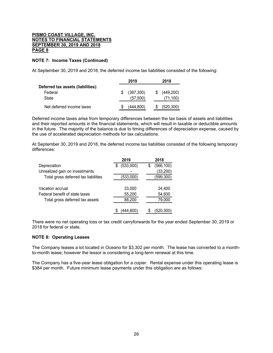# **NOTE 7: Income Taxes (Continued)**

At September 30, 2019 and 2018, the deferred income tax liabilities consisted of the following:

|                                    | 2019       |    | 2018      |
|------------------------------------|------------|----|-----------|
| Deferred tax assets (liabilities): |            |    |           |
| Federal                            | (387, 300) | S. | (449,200) |
| State                              | (57, 500)  |    | (71, 100) |
| Net deferred income taxes          | (444.800)  | S  | (520,300) |

Deferred income taxes arise from temporary differences between the tax basis of assets and liabilities and their reported amounts in the financial statements, which will result in taxable or deductible amounts in the future. The majority of the balance is due to timing differences of depreciation expense, caused by the use of accelerated depreciation methods for tax calculations.

At September 30, 2019 and 2018, the deferred income tax liabilities consisted of the following temporary differences:

| 2019           | 2018             |
|----------------|------------------|
| (533,000)<br>S | (566, 100)<br>\$ |
|                | (33, 200)        |
| (533,000)      | (599, 300)       |
|                |                  |
| 33,000         | 24,400           |
| 55,200         | 54,600           |
| 88,200         | 79,000           |
|                |                  |
| (444.800)      | (520,300)        |
|                |                  |

There were no net operating loss or tax credit carryforwards for the year ended September 30, 2019 or 2018 for federal or state.

## **NOTE 8: Operating Leases**

The Company leases a lot located in Oceano for \$3,302 per month. The lease has converted to a monthto-month lease; however the lessor is considering a long-term renewal at this time.

The Company has a five-year lease obligation for a copier. Rental expense under this operating lease is \$384 per month. Future minimum lease payments under this obligation are as follows: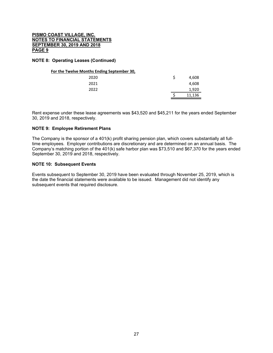# **NOTE 8: Operating Leases (Continued)**

# **For the Twelve Months Ending September 30,**

| 2020 |  | 4,608  |
|------|--|--------|
| 2021 |  | 4,608  |
| 2022 |  | 1,920  |
|      |  | 11,136 |

Rent expense under these lease agreements was \$43,520 and \$45,211 for the years ended September 30, 2019 and 2018, respectively.

## **NOTE 9: Employee Retirement Plans**

The Company is the sponsor of a 401(k) profit sharing pension plan, which covers substantially all fulltime employees. Employer contributions are discretionary and are determined on an annual basis. The Company's matching portion of the 401(k) safe harbor plan was \$73,510 and \$67,370 for the years ended September 30, 2019 and 2018, respectively.

### **NOTE 10: Subsequent Events**

Events subsequent to September 30, 2019 have been evaluated through November 25, 2019, which is the date the financial statements were available to be issued. Management did not identify any subsequent events that required disclosure.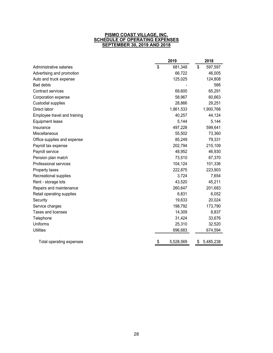#### **PISMO COAST VILLAGE, INC. SCHEDULE OF OPERATING EXPENSES SEPTEMBER 30, 2019 AND 2018**

|                              | 2019            | 2018            |
|------------------------------|-----------------|-----------------|
| Administrative salaries      | \$<br>681,348   | \$<br>597,597   |
| Advertising and promotion    | 66,722          | 46,005          |
| Auto and truck expense       | 125,025         | 124,808         |
| <b>Bad debts</b>             |                 | 566             |
| <b>Contract services</b>     | 69,600          | 65,291          |
| Corporation expense          | 58,967          | 60,663          |
| <b>Custodial supplies</b>    | 28,866          | 29,251          |
| Direct labor                 | 1,861,533       | 1,900,768       |
| Employee travel and training | 40,257          | 44,124          |
| <b>Equipment lease</b>       | 5,144           | 5,144           |
| Insurance                    | 497,228         | 599,641         |
| Miscellaneous                | 55,502          | 73,360          |
| Office supplies and expense  | 85,249          | 79,331          |
| Payroll tax expense          | 202,794         | 215,109         |
| Payroll service              | 48,952          | 46,930          |
| Pension plan match           | 73,510          | 67,370          |
| Professional services        | 104,124         | 101,336         |
| Property taxes               | 222,875         | 223,903         |
| Recreational supplies        | 3,724           | 7,654           |
| Rent - storage lots          | 43,520          | 45,211          |
| Repairs and maintenance      | 260,647         | 201,683         |
| Retail operating supplies    | 6,831           | 6,052           |
| Security                     | 19,633          | 20,024          |
| Service charges              | 198,792         | 173,790         |
| <b>Taxes and licenses</b>    | 14,309          | 8,837           |
| Telephone                    | 31,424          | 33,676          |
| Uniforms                     | 25,310          | 32,520          |
| <b>Utilities</b>             | 696,683         | 674,594         |
| Total operating expenses     | \$<br>5,528,569 | 5,485,238<br>\$ |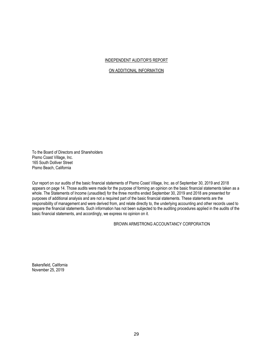### INDEPENDENT AUDITOR'S REPORT

### ON ADDITIONAL INFORMATION

To the Board of Directors and Shareholders Pismo Coast Village, Inc. 165 South Dolliver Street Pismo Beach, California

Our report on our audits of the basic financial statements of Pismo Coast Village, Inc. as of September 30, 2019 and 2018 appears on page 14. Those audits were made for the purpose of forming an opinion on the basic financial statements taken as a whole. The Statements of Income (unaudited) for the three months ended September 30, 2019 and 2018 are presented for purposes of additional analysis and are not a required part of the basic financial statements. These statements are the responsibility of management and were derived from, and relate directly to, the underlying accounting and other records used to prepare the financial statements. Such information has not been subjected to the auditing procedures applied in the audits of the basic financial statements, and accordingly, we express no opinion on it.

# BROWN ARMSTRONG ACCOUNTANCY CORPORATION

Bakersfield, California November 25, 2019